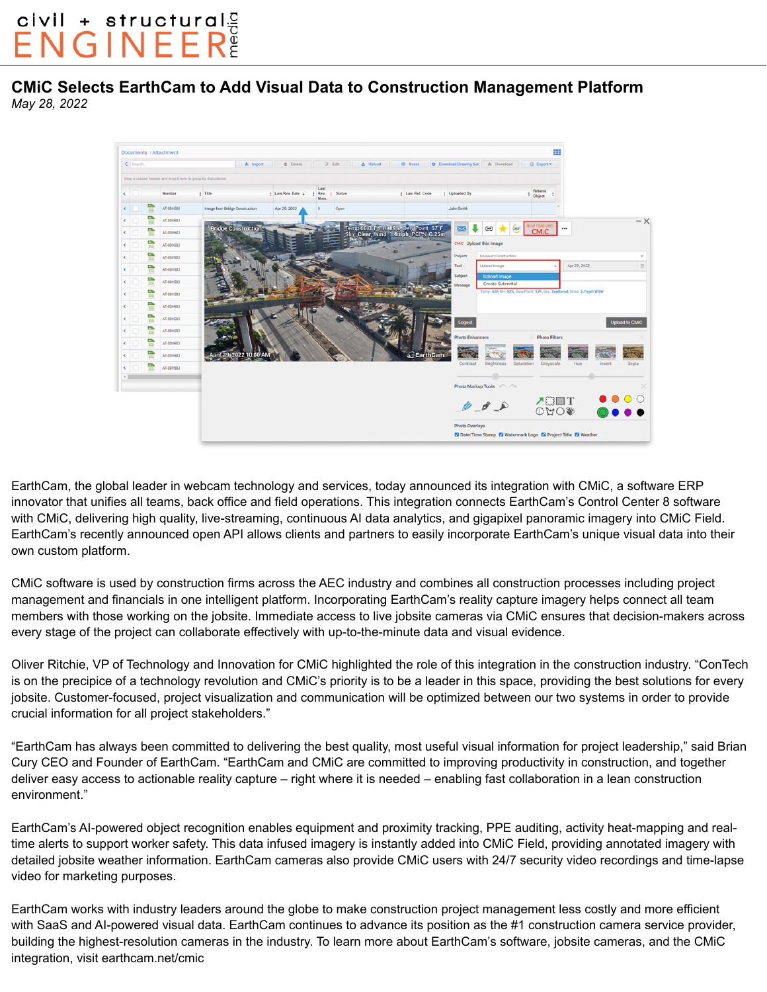## civil + structural<sup>g</sup><br>ENGINEER<sup>e</sup>

*May 28, 2022* **CMiC Selects EarthCam to Add Visual Data to Construction Management Platform**



EarthCam, the global leader in webcam technology and services, today announced its integration with CMiC, a software ERP innovator that unifies all teams, back office and field operations. This integration connects EarthCam's Control Center 8 software with CMiC, delivering high quality, live-streaming, continuous AI data analytics, and gigapixel panoramic imagery into CMiC Field. EarthCam's recently announced open API allows clients and partners to easily incorporate EarthCam's unique visual data into their own custom platform.

CMiC software is used by construction firms across the AEC industry and combines all construction processes including project management and financials in one intelligent platform. Incorporating EarthCam's reality capture imagery helps connect all team members with those working on the jobsite. Immediate access to live jobsite cameras via CMiC ensures that decision-makers across every stage of the project can collaborate effectively with up-to-the-minute data and visual evidence.

Oliver Ritchie, VP of Technology and Innovation for CMiC highlighted the role of this integration in the construction industry. "ConTech is on the precipice of a technology revolution and CMiC's priority is to be a leader in this space, providing the best solutions for every jobsite. Customer-focused, project visualization and communication will be optimized between our two systems in order to provide crucial information for all project stakeholders."

"EarthCam has always been committed to delivering the best quality, most useful visual information for project leadership," said Brian Cury CEO and Founder of EarthCam. "EarthCam and CMiC are committed to improving productivity in construction, and together deliver easy access to actionable reality capture – right where it is needed – enabling fast collaboration in a lean construction environment."

EarthCam's AI-powered object recognition enables equipment and proximity tracking, PPE auditing, activity heat-mapping and realtime alerts to support worker safety. This data infused imagery is instantly added into CMiC Field, providing annotated imagery with detailed jobsite weather information. EarthCam cameras also provide CMiC users with 24/7 security video recordings and time-lapse video for marketing purposes.

EarthCam works with industry leaders around the globe to make construction project management less costly and more efficient with SaaS and AI-powered visual data. EarthCam continues to advance its position as the #1 construction camera service provider, building the highest-resolution cameras in the industry. To learn more about EarthCam's software, jobsite cameras, and the CMiC integration, visit earthcam.net/cmic